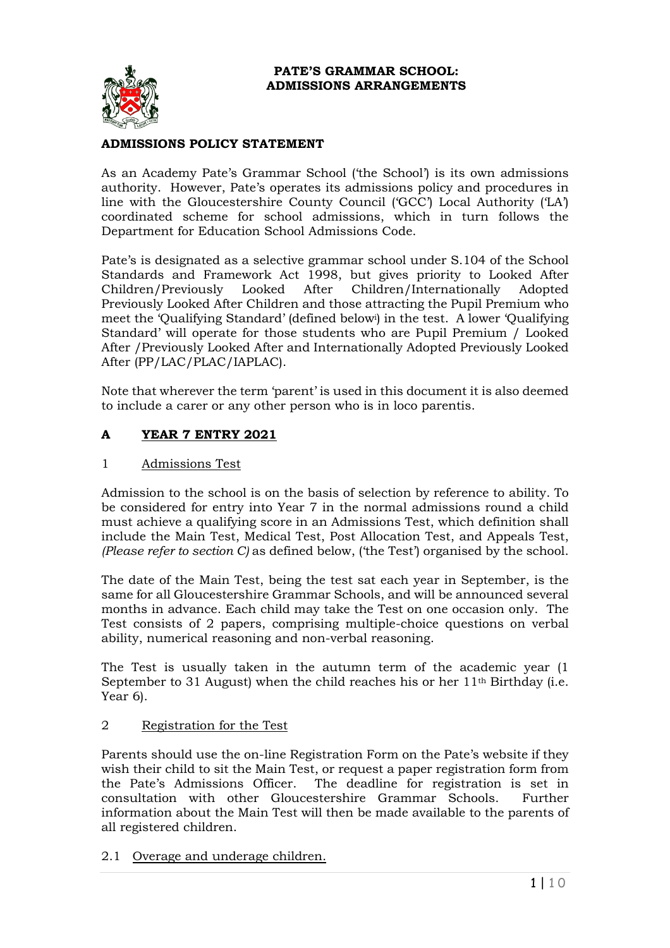

## **ADMISSIONS POLICY STATEMENT**

As an Academy Pate's Grammar School ('the School') is its own admissions authority. However, Pate's operates its admissions policy and procedures in line with the Gloucestershire County Council ('GCC') Local Authority ('LA') coordinated scheme for school admissions, which in turn follows the Department for Education School Admissions Code.

Pate's is designated as a selective grammar school under S.104 of the School Standards and Framework Act 1998, but gives priority to Looked After Children/Previously Looked After Children/Internationally Adopted Previously Looked After Children and those attracting the Pupil Premium who meet the 'Qualifying Standard' (defined below<sup>i</sup> ) in the test. A lower 'Qualifying Standard' will operate for those students who are Pupil Premium / Looked After /Previously Looked After and Internationally Adopted Previously Looked After (PP/LAC/PLAC/IAPLAC).

Note that wherever the term 'parent' is used in this document it is also deemed to include a carer or any other person who is in loco parentis.

## **A YEAR 7 ENTRY 2021**

### 1 Admissions Test

Admission to the school is on the basis of selection by reference to ability. To be considered for entry into Year 7 in the normal admissions round a child must achieve a qualifying score in an Admissions Test, which definition shall include the Main Test, Medical Test, Post Allocation Test, and Appeals Test, *(Please refer to section C)* as defined below, ('the Test') organised by the school.

The date of the Main Test, being the test sat each year in September, is the same for all Gloucestershire Grammar Schools, and will be announced several months in advance. Each child may take the Test on one occasion only. The Test consists of 2 papers, comprising multiple-choice questions on verbal ability, numerical reasoning and non-verbal reasoning.

The Test is usually taken in the autumn term of the academic year (1 September to 31 August) when the child reaches his or her  $11<sup>th</sup>$  Birthday (i.e. Year 6).

## 2 Registration for the Test

Parents should use the on-line Registration Form on the Pate's website if they wish their child to sit the Main Test, or request a paper registration form from the Pate's Admissions Officer. The deadline for registration is set in consultation with other Gloucestershire Grammar Schools.Further information about the Main Test will then be made available to the parents of all registered children.

2.1 Overage and underage children.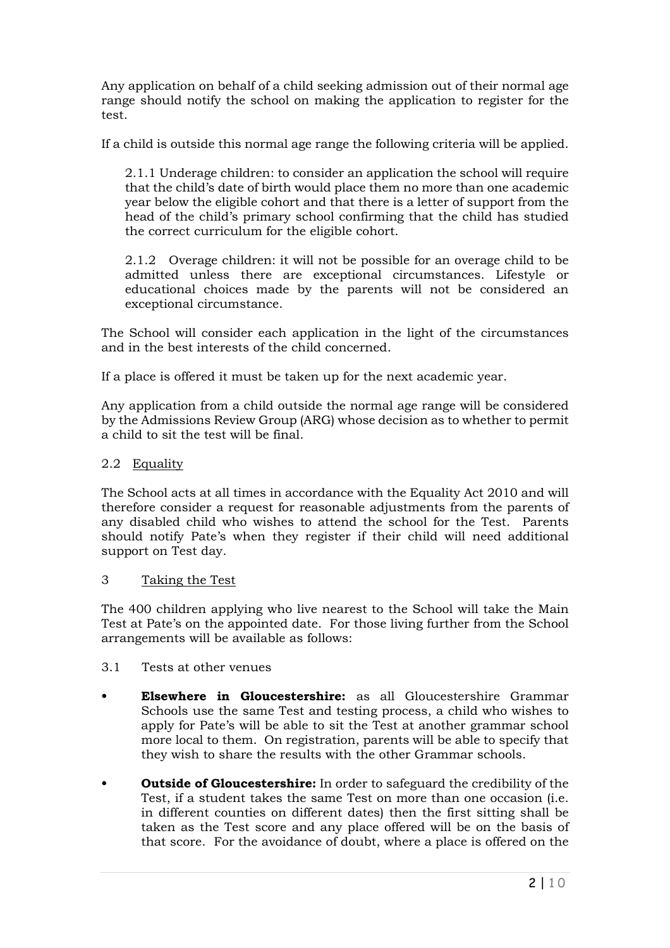Any application on behalf of a child seeking admission out of their normal age range should notify the school on making the application to register for the test.

If a child is outside this normal age range the following criteria will be applied.

2.1.1 Underage children: to consider an application the school will require that the child's date of birth would place them no more than one academic year below the eligible cohort and that there is a letter of support from the head of the child's primary school confirming that the child has studied the correct curriculum for the eligible cohort.

2.1.2 Overage children: it will not be possible for an overage child to be admitted unless there are exceptional circumstances. Lifestyle or educational choices made by the parents will not be considered an exceptional circumstance.

The School will consider each application in the light of the circumstances and in the best interests of the child concerned.

If a place is offered it must be taken up for the next academic year.

Any application from a child outside the normal age range will be considered by the Admissions Review Group (ARG) whose decision as to whether to permit a child to sit the test will be final.

# 2.2 Equality

The School acts at all times in accordance with the Equality Act 2010 and will therefore consider a request for reasonable adjustments from the parents of any disabled child who wishes to attend the school for the Test. Parents should notify Pate's when they register if their child will need additional support on Test day.

## 3 Taking the Test

The 400 children applying who live nearest to the School will take the Main Test at Pate's on the appointed date. For those living further from the School arrangements will be available as follows:

- 3.1 Tests at other venues
- **• Elsewhere in Gloucestershire:** as all Gloucestershire Grammar Schools use the same Test and testing process, a child who wishes to apply for Pate's will be able to sit the Test at another grammar school more local to them. On registration, parents will be able to specify that they wish to share the results with the other Grammar schools.
- **• Outside of Gloucestershire:** In order to safeguard the credibility of the Test, if a student takes the same Test on more than one occasion (i.e. in different counties on different dates) then the first sitting shall be taken as the Test score and any place offered will be on the basis of that score. For the avoidance of doubt, where a place is offered on the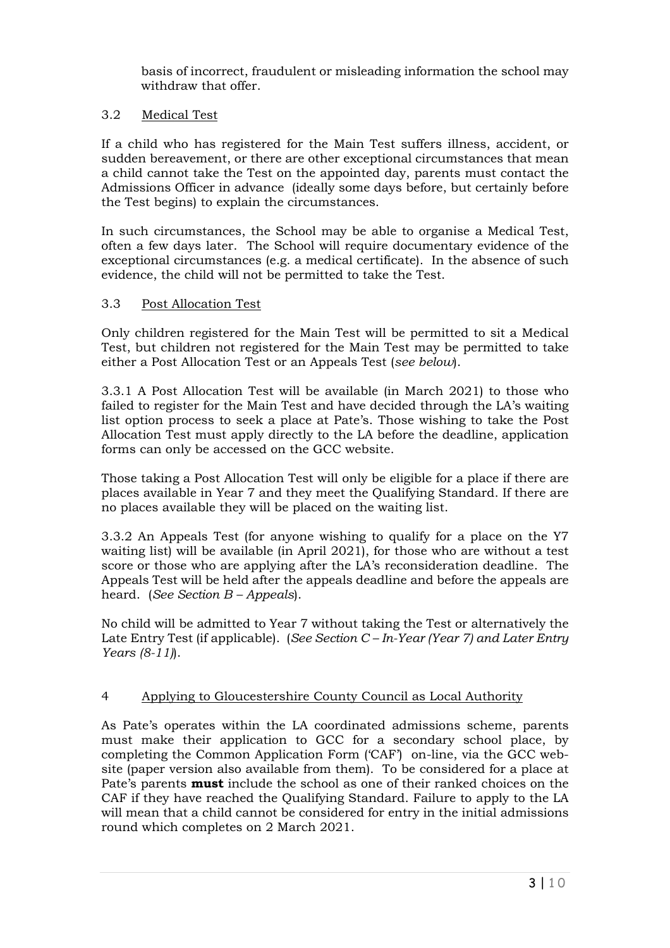basis of incorrect, fraudulent or misleading information the school may withdraw that offer.

## 3.2 Medical Test

If a child who has registered for the Main Test suffers illness, accident, or sudden bereavement, or there are other exceptional circumstances that mean a child cannot take the Test on the appointed day, parents must contact the Admissions Officer in advance (ideally some days before, but certainly before the Test begins) to explain the circumstances.

In such circumstances, the School may be able to organise a Medical Test, often a few days later. The School will require documentary evidence of the exceptional circumstances (e.g. a medical certificate). In the absence of such evidence, the child will not be permitted to take the Test.

### 3.3 Post Allocation Test

Only children registered for the Main Test will be permitted to sit a Medical Test, but children not registered for the Main Test may be permitted to take either a Post Allocation Test or an Appeals Test (*see below*).

3.3.1 A Post Allocation Test will be available (in March 2021) to those who failed to register for the Main Test and have decided through the LA's waiting list option process to seek a place at Pate's. Those wishing to take the Post Allocation Test must apply directly to the LA before the deadline, application forms can only be accessed on the GCC website.

Those taking a Post Allocation Test will only be eligible for a place if there are places available in Year 7 and they meet the Qualifying Standard. If there are no places available they will be placed on the waiting list.

3.3.2 An Appeals Test (for anyone wishing to qualify for a place on the Y7 waiting list) will be available (in April 2021), for those who are without a test score or those who are applying after the LA's reconsideration deadline. The Appeals Test will be held after the appeals deadline and before the appeals are heard. (*See Section B – Appeals*).

No child will be admitted to Year 7 without taking the Test or alternatively the Late Entry Test (if applicable). (*See Section C – In-Year (Year 7) and Later Entry Years (8-11)*).

## 4 Applying to Gloucestershire County Council as Local Authority

As Pate's operates within the LA coordinated admissions scheme, parents must make their application to GCC for a secondary school place, by completing the Common Application Form ('CAF') on-line, via the GCC website (paper version also available from them). To be considered for a place at Pate's parents **must** include the school as one of their ranked choices on the CAF if they have reached the Qualifying Standard. Failure to apply to the LA will mean that a child cannot be considered for entry in the initial admissions round which completes on 2 March 2021.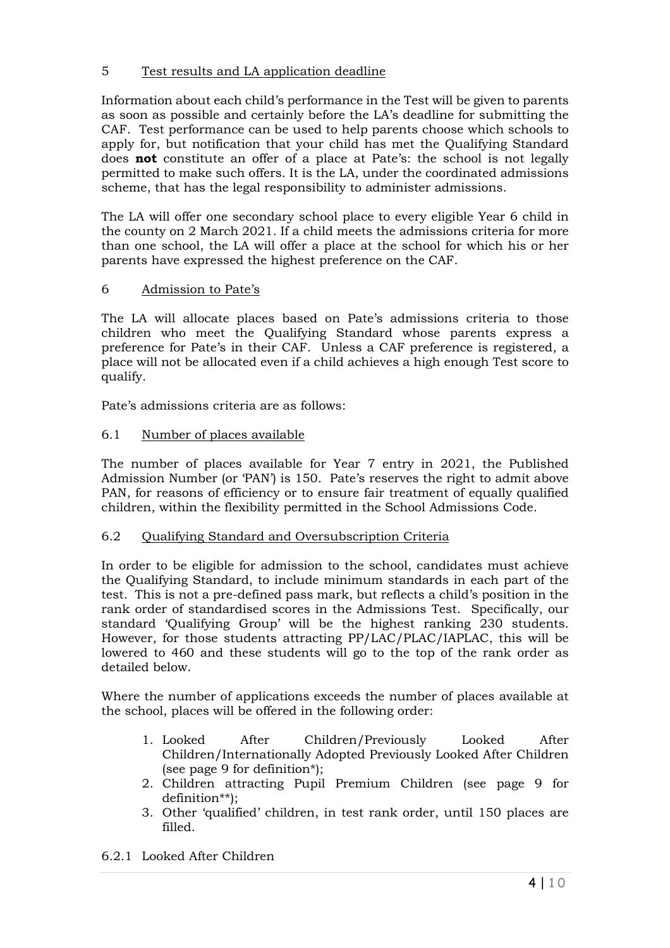## 5 Test results and LA application deadline

Information about each child's performance in the Test will be given to parents as soon as possible and certainly before the LA's deadline for submitting the CAF. Test performance can be used to help parents choose which schools to apply for, but notification that your child has met the Qualifying Standard does **not** constitute an offer of a place at Pate's: the school is not legally permitted to make such offers. It is the LA, under the coordinated admissions scheme, that has the legal responsibility to administer admissions.

The LA will offer one secondary school place to every eligible Year 6 child in the county on 2 March 2021. If a child meets the admissions criteria for more than one school, the LA will offer a place at the school for which his or her parents have expressed the highest preference on the CAF.

# 6 Admission to Pate's

The LA will allocate places based on Pate's admissions criteria to those children who meet the Qualifying Standard whose parents express a preference for Pate's in their CAF. Unless a CAF preference is registered, a place will not be allocated even if a child achieves a high enough Test score to qualify.

Pate's admissions criteria are as follows:

## 6.1 Number of places available

The number of places available for Year 7 entry in 2021, the Published Admission Number (or 'PAN') is 150. Pate's reserves the right to admit above PAN, for reasons of efficiency or to ensure fair treatment of equally qualified children, within the flexibility permitted in the School Admissions Code.

## 6.2 Qualifying Standard and Oversubscription Criteria

In order to be eligible for admission to the school, candidates must achieve the Qualifying Standard, to include minimum standards in each part of the test. This is not a pre-defined pass mark, but reflects a child's position in the rank order of standardised scores in the Admissions Test. Specifically, our standard 'Qualifying Group' will be the highest ranking 230 students. However, for those students attracting PP/LAC/PLAC/IAPLAC, this will be lowered to 460 and these students will go to the top of the rank order as detailed below.

Where the number of applications exceeds the number of places available at the school, places will be offered in the following order:

- 1. Looked After Children/Previously Looked After Children/Internationally Adopted Previously Looked After Children (see page 9 for definition\*);
- 2. Children attracting Pupil Premium Children (see page 9 for definition\*\*);
- 3. Other 'qualified' children, in test rank order, until 150 places are filled.

## 6.2.1 Looked After Children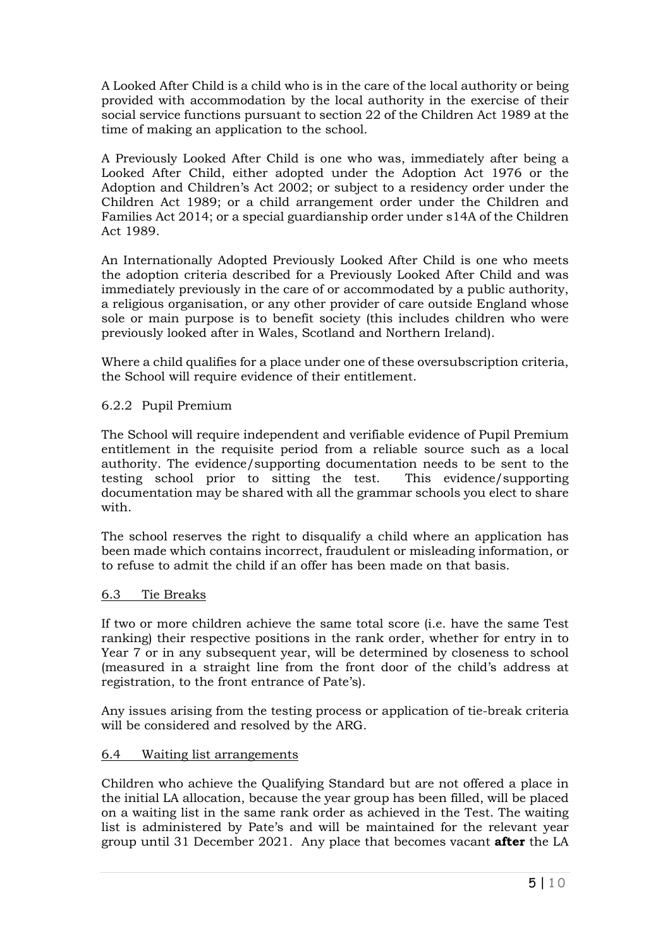A Looked After Child is a child who is in the care of the local authority or being provided with accommodation by the local authority in the exercise of their social service functions pursuant to section 22 of the Children Act 1989 at the time of making an application to the school.

A Previously Looked After Child is one who was, immediately after being a Looked After Child, either adopted under the Adoption Act 1976 or the Adoption and Children's Act 2002; or subject to a residency order under the Children Act 1989; or a child arrangement order under the Children and Families Act 2014; or a special guardianship order under s14A of the Children Act 1989.

An Internationally Adopted Previously Looked After Child is one who meets the adoption criteria described for a Previously Looked After Child and was immediately previously in the care of or accommodated by a public authority, a religious organisation, or any other provider of care outside England whose sole or main purpose is to benefit society (this includes children who were previously looked after in Wales, Scotland and Northern Ireland).

Where a child qualifies for a place under one of these oversubscription criteria, the School will require evidence of their entitlement.

### 6.2.2 Pupil Premium

The School will require independent and verifiable evidence of Pupil Premium entitlement in the requisite period from a reliable source such as a local authority. The evidence/supporting documentation needs to be sent to the testing school prior to sitting the test. This evidence/supporting documentation may be shared with all the grammar schools you elect to share with.

The school reserves the right to disqualify a child where an application has been made which contains incorrect, fraudulent or misleading information, or to refuse to admit the child if an offer has been made on that basis.

#### 6.3 Tie Breaks

If two or more children achieve the same total score (i.e. have the same Test ranking) their respective positions in the rank order, whether for entry in to Year 7 or in any subsequent year, will be determined by closeness to school (measured in a straight line from the front door of the child's address at registration, to the front entrance of Pate's).

Any issues arising from the testing process or application of tie-break criteria will be considered and resolved by the ARG.

#### 6.4 Waiting list arrangements

Children who achieve the Qualifying Standard but are not offered a place in the initial LA allocation, because the year group has been filled, will be placed on a waiting list in the same rank order as achieved in the Test. The waiting list is administered by Pate's and will be maintained for the relevant year group until 31 December 2021. Any place that becomes vacant **after** the LA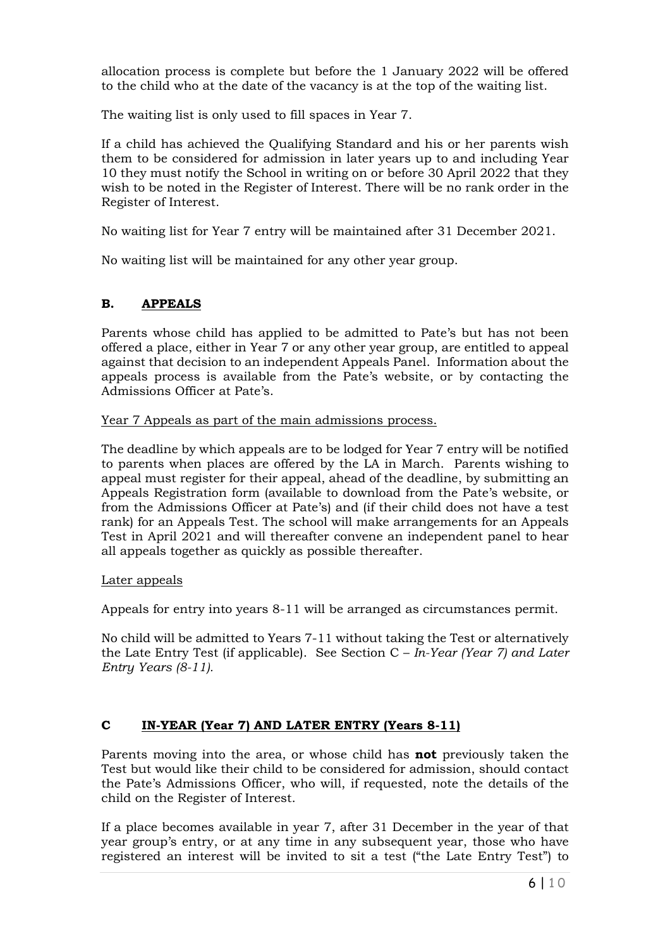allocation process is complete but before the 1 January 2022 will be offered to the child who at the date of the vacancy is at the top of the waiting list.

The waiting list is only used to fill spaces in Year 7.

If a child has achieved the Qualifying Standard and his or her parents wish them to be considered for admission in later years up to and including Year 10 they must notify the School in writing on or before 30 April 2022 that they wish to be noted in the Register of Interest. There will be no rank order in the Register of Interest.

No waiting list for Year 7 entry will be maintained after 31 December 2021.

No waiting list will be maintained for any other year group.

# **B. APPEALS**

Parents whose child has applied to be admitted to Pate's but has not been offered a place, either in Year 7 or any other year group, are entitled to appeal against that decision to an independent Appeals Panel. Information about the appeals process is available from the Pate's website, or by contacting the Admissions Officer at Pate's.

Year 7 Appeals as part of the main admissions process.

The deadline by which appeals are to be lodged for Year 7 entry will be notified to parents when places are offered by the LA in March. Parents wishing to appeal must register for their appeal, ahead of the deadline, by submitting an Appeals Registration form (available to download from the Pate's website, or from the Admissions Officer at Pate's) and (if their child does not have a test rank) for an Appeals Test. The school will make arrangements for an Appeals Test in April 2021 and will thereafter convene an independent panel to hear all appeals together as quickly as possible thereafter.

#### Later appeals

Appeals for entry into years 8-11 will be arranged as circumstances permit.

No child will be admitted to Years 7-11 without taking the Test or alternatively the Late Entry Test (if applicable). See Section C – *In-Year (Year 7) and Later Entry Years (8-11).*

## **C IN-YEAR (Year 7) AND LATER ENTRY (Years 8-11)**

Parents moving into the area, or whose child has **not** previously taken the Test but would like their child to be considered for admission, should contact the Pate's Admissions Officer, who will, if requested, note the details of the child on the Register of Interest.

If a place becomes available in year 7, after 31 December in the year of that year group's entry, or at any time in any subsequent year, those who have registered an interest will be invited to sit a test ("the Late Entry Test") to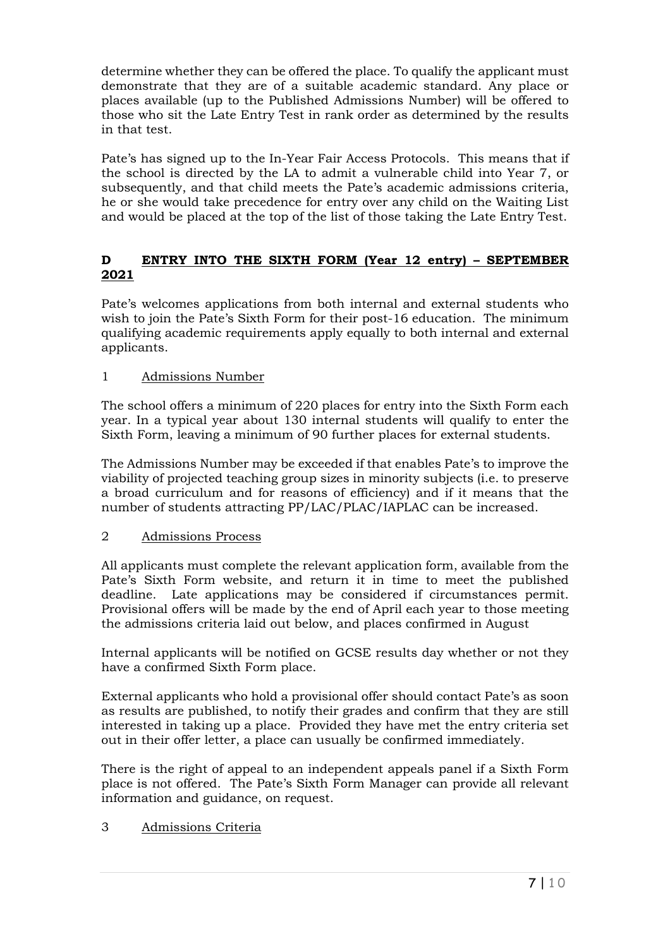determine whether they can be offered the place. To qualify the applicant must demonstrate that they are of a suitable academic standard. Any place or places available (up to the Published Admissions Number) will be offered to those who sit the Late Entry Test in rank order as determined by the results in that test.

Pate's has signed up to the In-Year Fair Access Protocols. This means that if the school is directed by the LA to admit a vulnerable child into Year 7, or subsequently, and that child meets the Pate's academic admissions criteria, he or she would take precedence for entry over any child on the Waiting List and would be placed at the top of the list of those taking the Late Entry Test.

# **D ENTRY INTO THE SIXTH FORM (Year 12 entry) – SEPTEMBER 2021**

Pate's welcomes applications from both internal and external students who wish to join the Pate's Sixth Form for their post-16 education. The minimum qualifying academic requirements apply equally to both internal and external applicants.

## 1 Admissions Number

The school offers a minimum of 220 places for entry into the Sixth Form each year. In a typical year about 130 internal students will qualify to enter the Sixth Form, leaving a minimum of 90 further places for external students.

The Admissions Number may be exceeded if that enables Pate's to improve the viability of projected teaching group sizes in minority subjects (i.e. to preserve a broad curriculum and for reasons of efficiency) and if it means that the number of students attracting PP/LAC/PLAC/IAPLAC can be increased.

## 2 Admissions Process

All applicants must complete the relevant application form, available from the Pate's Sixth Form website, and return it in time to meet the published deadline. Late applications may be considered if circumstances permit. Provisional offers will be made by the end of April each year to those meeting the admissions criteria laid out below, and places confirmed in August

Internal applicants will be notified on GCSE results day whether or not they have a confirmed Sixth Form place.

External applicants who hold a provisional offer should contact Pate's as soon as results are published, to notify their grades and confirm that they are still interested in taking up a place. Provided they have met the entry criteria set out in their offer letter, a place can usually be confirmed immediately.

There is the right of appeal to an independent appeals panel if a Sixth Form place is not offered. The Pate's Sixth Form Manager can provide all relevant information and guidance, on request.

# 3 Admissions Criteria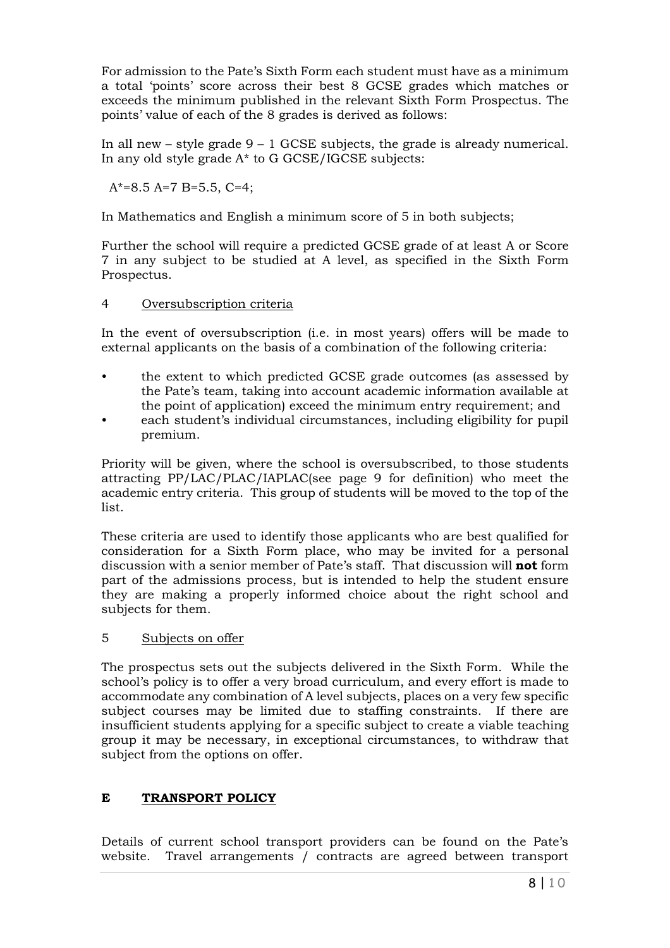For admission to the Pate's Sixth Form each student must have as a minimum a total 'points' score across their best 8 GCSE grades which matches or exceeds the minimum published in the relevant Sixth Form Prospectus. The points' value of each of the 8 grades is derived as follows:

In all new – style grade  $9 - 1$  GCSE subjects, the grade is already numerical. In any old style grade A\* to G GCSE/IGCSE subjects:

 $A^*=8.5 A=7 B=5.5 C=4$ ;

In Mathematics and English a minimum score of 5 in both subjects;

Further the school will require a predicted GCSE grade of at least A or Score 7 in any subject to be studied at A level, as specified in the Sixth Form Prospectus.

### 4 Oversubscription criteria

In the event of oversubscription (i.e. in most years) offers will be made to external applicants on the basis of a combination of the following criteria:

- the extent to which predicted GCSE grade outcomes (as assessed by the Pate's team, taking into account academic information available at the point of application) exceed the minimum entry requirement; and
- each student's individual circumstances, including eligibility for pupil premium.

Priority will be given, where the school is oversubscribed, to those students attracting PP/LAC/PLAC/IAPLAC(see page 9 for definition) who meet the academic entry criteria. This group of students will be moved to the top of the list.

These criteria are used to identify those applicants who are best qualified for consideration for a Sixth Form place, who may be invited for a personal discussion with a senior member of Pate's staff. That discussion will **not** form part of the admissions process, but is intended to help the student ensure they are making a properly informed choice about the right school and subjects for them.

#### 5 Subjects on offer

The prospectus sets out the subjects delivered in the Sixth Form. While the school's policy is to offer a very broad curriculum, and every effort is made to accommodate any combination of A level subjects, places on a very few specific subject courses may be limited due to staffing constraints. If there are insufficient students applying for a specific subject to create a viable teaching group it may be necessary, in exceptional circumstances, to withdraw that subject from the options on offer.

## **E TRANSPORT POLICY**

Details of current school transport providers can be found on the Pate's website. Travel arrangements / contracts are agreed between transport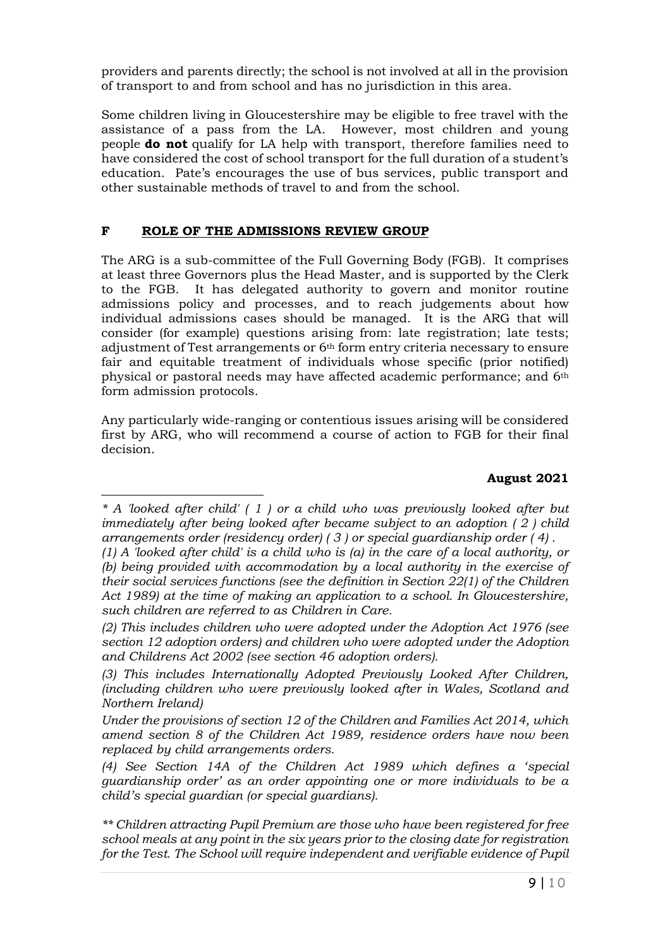providers and parents directly; the school is not involved at all in the provision of transport to and from school and has no jurisdiction in this area.

Some children living in Gloucestershire may be eligible to free travel with the assistance of a pass from the LA. However, most children and young people **do not** qualify for LA help with transport, therefore families need to have considered the cost of school transport for the full duration of a student's education. Pate's encourages the use of bus services, public transport and other sustainable methods of travel to and from the school.

# **F ROLE OF THE ADMISSIONS REVIEW GROUP**

The ARG is a sub-committee of the Full Governing Body (FGB). It comprises at least three Governors plus the Head Master, and is supported by the Clerk to the FGB. It has delegated authority to govern and monitor routine admissions policy and processes, and to reach judgements about how individual admissions cases should be managed. It is the ARG that will consider (for example) questions arising from: late registration; late tests; adjustment of Test arrangements or 6th form entry criteria necessary to ensure fair and equitable treatment of individuals whose specific (prior notified) physical or pastoral needs may have affected academic performance; and 6th form admission protocols.

Any particularly wide-ranging or contentious issues arising will be considered first by ARG, who will recommend a course of action to FGB for their final decision.

## **August 2021**

*<sup>\*</sup> A 'looked after child' ( 1 ) or a child who was previously looked after but immediately after being looked after became subject to an adoption ( 2 ) child arrangements order (residency order) ( 3 ) or special guardianship order ( 4) .* 

*<sup>(1)</sup> A 'looked after child' is a child who is (a) in the care of a local authority, or (b) being provided with accommodation by a local authority in the exercise of their social services functions (see the definition in Section 22(1) of the Children Act 1989) at the time of making an application to a school. In Gloucestershire, such children are referred to as Children in Care.* 

*<sup>(2)</sup> This includes children who were adopted under the Adoption Act 1976 (see section 12 adoption orders) and children who were adopted under the Adoption and Childrens Act 2002 (see section 46 adoption orders).*

*<sup>(3)</sup> This includes Internationally Adopted Previously Looked After Children, (including children who were previously looked after in Wales, Scotland and Northern Ireland)*

*Under the provisions of section 12 of the Children and Families Act 2014, which amend section 8 of the Children Act 1989, residence orders have now been replaced by child arrangements orders.* 

*<sup>(4</sup>) See Section 14A of the Children Act 1989 which defines a 'special guardianship order' as an order appointing one or more individuals to be a child's special guardian (or special guardians).* 

*<sup>\*\*</sup> Children attracting Pupil Premium are those who have been registered for free school meals at any point in the six years prior to the closing date for registration for the Test. The School will require independent and verifiable evidence of Pupil*